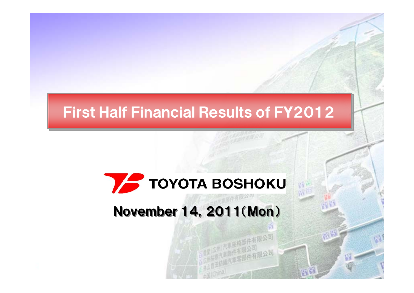## First Half Financial Results of FY2012

# **TOYOTA BOSHOKU**

## November 14, 2011(Mon)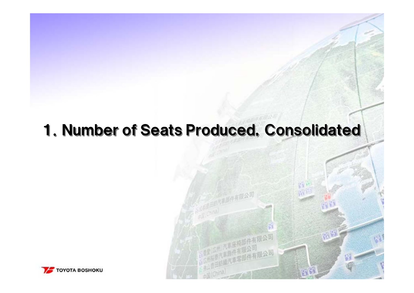## 1. Number of Seats Produced, Consolidated

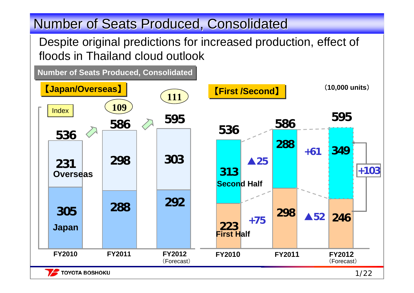## Number of Seats Produced, Consolidated

**TOYOTA BOSHOKU** 

Despite original predictions for increased production, effect of floods in Thailand cloud outlook

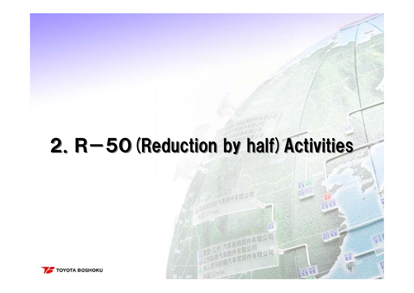# $2. R-50$  (Reduction by half) Activities

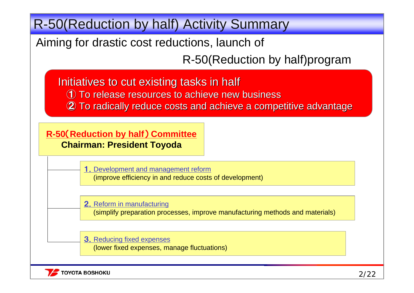R-50(Reduction by half) Activity Summary

Aiming for drastic cost reductions, launch of

R-50(Reduction by half)program

Initiatives to cut existing tasks in half ① To release resources to achieve new business To release resources to achieve new business (2) To radically reduce costs and achieve a competitive advantage

**R-50** (**Reduction by half** ) **Committee Chairman: President Toyoda**

> 1. Development and management reform (improve efficiency in and reduce costs of development)

2. Reform in manufacturing

(simplify preparation processes, improve manufacturing methods and materials)

**3.** Reducing fixed expenses

(lower fixed expenses, manage fluctuations)

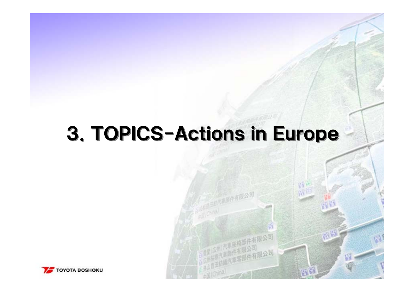# 3.TOPICS-Actions in Europe 3.TOPICS-Actions in Europe

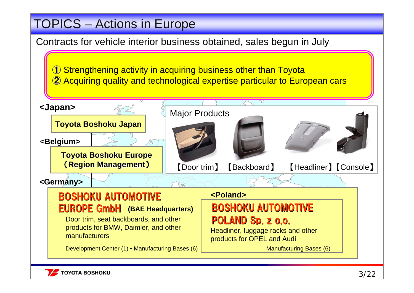### TOPICS – Actions in Europe

Contracts for vehicle interior business obtained, sales begun in July

① Strengthening activity in acquiring business other than Toyota ② Acquiring quality and technological expertise particular to European cars



## EUROPE GmbH EUROPE GmbH **(BAE Headquarters)**

Door trim, seat backboards, and other products for BMW, Daimler, and other manufacturers

Development Center (1) • Manufacturing Bases (6)

#### BOSHOKU AUTOMOTIVE POLAND Sp. z o.o.

Headliner, luggage racks and other products for OPEL and Audi

Manufacturing Bases (6)

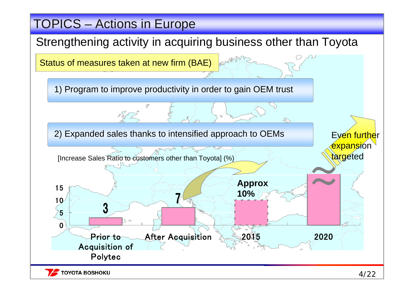### TOPICS – Actions in Europe

#### Strengthening activity in acquiring business other than Toyota



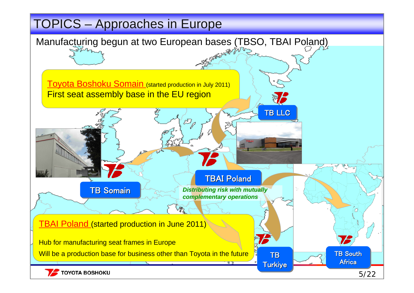### TOPICS – Approaches in Europe

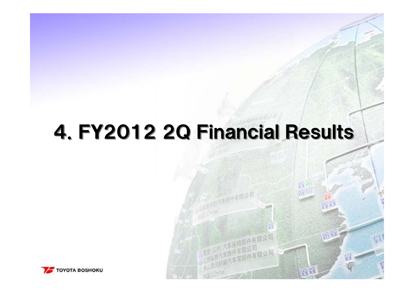# 4.FY2012 2Q Financial Results 4.FY2012 2Q Financial Results

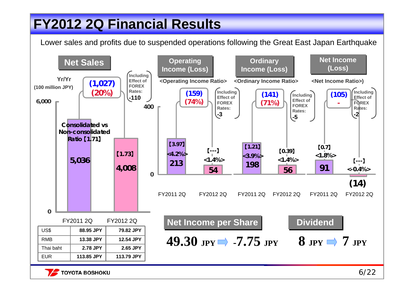## **FY2012 2Q Financial Results FY2012 2Q Financial Results**

Lower sales and profits due to suspended operations following the Great East Japan Earthquake



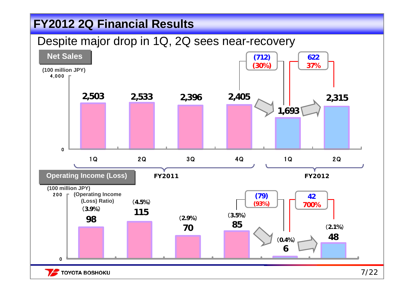#### **FY2012 2Q Financial Results FY2012 2Q Financial Results**

#### Despite major drop in 1Q, 2Q sees near-recovery



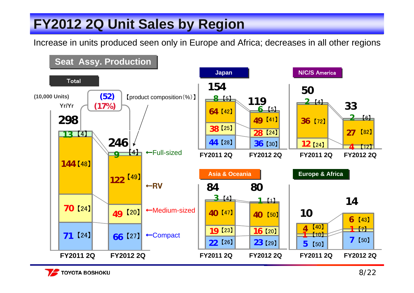## **FY2012 2Q Unit Sales by Region FY2012 2Q Unit Sales by Region**

Increase in units produced seen only in Europe and Africa; decreases in all other regions



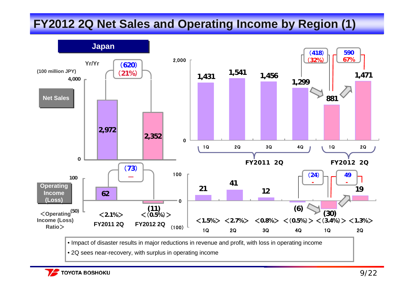#### **FY2012 2Q Net Sales and Operating Income by Region (1) FY2012 2Q Net Sales and Operating Income by Region (1)**



• Impact of disaster results in major reductions in revenue and profit, with loss in operating income

• 2Q sees near-recovery, with surplus in operating income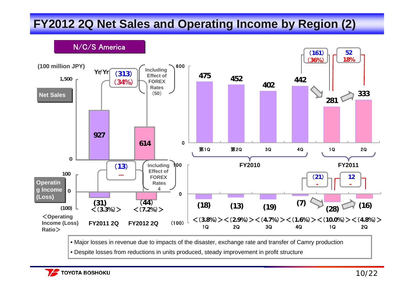### **FY2012 2Q Net Sales and Operating Income by Region (2) FY2012 2Q Net Sales and Operating Income by Region (2)**



• Major losses in revenue due to impacts of the disaster, exchange rate and transfer of Camry production

• Despite losses from reductions in units produced, steady improvement in profit structure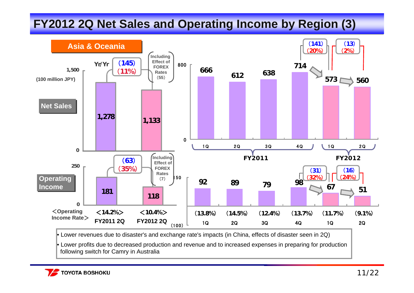### **FY2012 2Q Net Sales and Operating Income by Region (3) FY2012 2Q Net Sales and Operating Income by Region (3)**



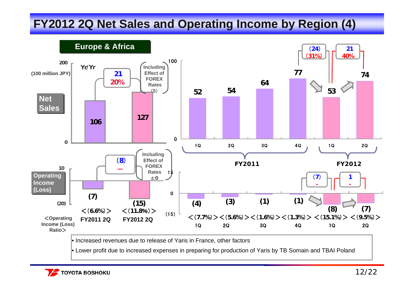#### **FY2012 2Q Net Sales and Operating Income by Region (4) FY2012 2Q Net Sales and Operating Income by Region (4)**



• Increased revenues due to release of Yaris in France, other factors

• Lower profit due to increased expenses in preparing for production of Yaris by TB Somain and TBAI Poland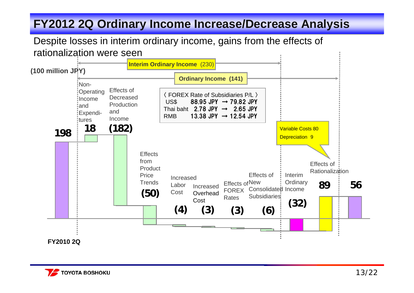#### **FY2012 2Q Ordinary Income Increase/Decrease Analysis FY2012 2Q Ordinary Income Increase/Decrease Analysis**

#### Despite losses in interim ordinary income, gains from the effects of rationalization were seen



**FY2010 2Q**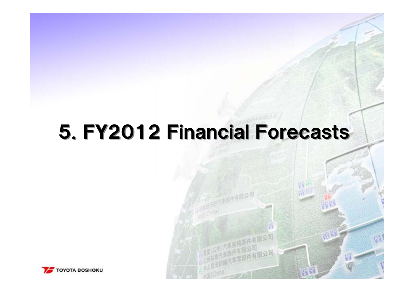# 5. FY2012 Financial Forecasts

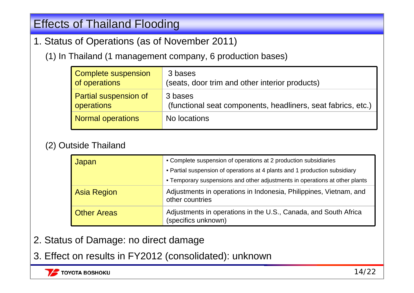#### **Effects of Thailand Flooding**

- 1. Status of Operations (as of November 2011)
	- (1) In Thailand (1 management company, 6 production bases)

| Complete suspension          | 3 bases                                                      |
|------------------------------|--------------------------------------------------------------|
| of operations                | (seats, door trim and other interior products)               |
| <b>Partial suspension of</b> | 3 bases                                                      |
| operations                   | (functional seat components, headliners, seat fabrics, etc.) |
| Normal operations            | No locations                                                 |

#### (2) Outside Thailand

| Japan              | • Complete suspension of operations at 2 production subsidiaries<br>• Partial suspension of operations at 4 plants and 1 production subsidiary<br>• Temporary suspensions and other adjustments in operations at other plants |
|--------------------|-------------------------------------------------------------------------------------------------------------------------------------------------------------------------------------------------------------------------------|
| <b>Asia Region</b> | Adjustments in operations in Indonesia, Philippines, Vietnam, and<br>other countries                                                                                                                                          |
| <b>Other Areas</b> | Adjustments in operations in the U.S., Canada, and South Africa<br>(specifics unknown)                                                                                                                                        |

- 2. Status of Damage: no direct damage
- 3. Effect on results in FY2012 (consolidated): unknown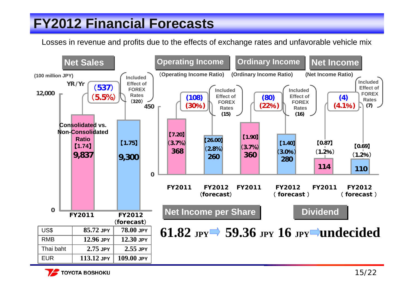## **FY2012 Financial Forecasts FY2012 Financial Forecasts**

Losses in revenue and profits due to the effects of exchange rates and unfavorable vehicle mix



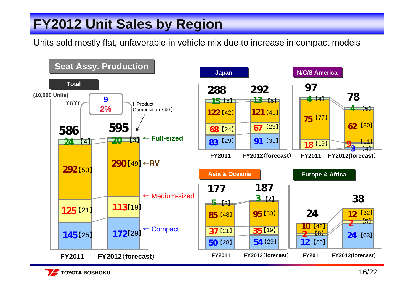## **FY2012 Unit Sales by Region FY2012 Unit Sales by Region**

Units sold mostly flat, unfavorable in vehicle mix due to increase in compact models



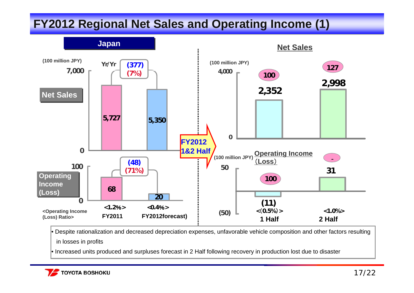#### **FY2012 Regional Net Sales and Operating Income (1) FY2012 Regional Net Sales and Operating Income (1)**



• Despite rationalization and decreased depreciation expenses, unfavorable vehicle composition and other factors resulting in losses in profits

• Increased units produced and surpluses forecast in 2 Half following recovery in production lost due to disaster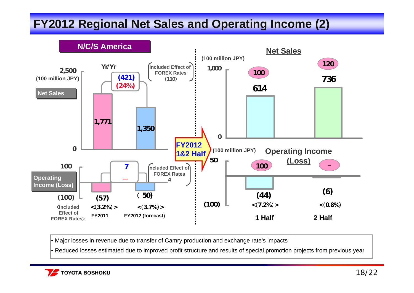### **FY2012 Regional Net Sales and Operating Income (2) FY2012 Regional Net Sales and Operating Income (2)**



• Major losses in revenue due to transfer of Camry production and exchange rate's impacts

• Reduced losses estimated due to improved profit structure and results of special promotion projects from previous year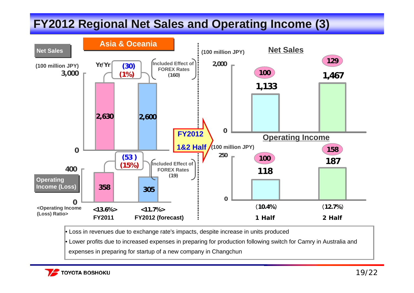#### **FY2012 Regional Net Sales and Operating Income (3) FY2012 Regional Net Sales and Operating Income (3)**



• Loss in revenues due to exchange rate's impacts, despite increase in units produced

• Lower profits due to increased expenses in preparing for production following switch for Camry in Australia and

expenses in preparing for startup of a new company in Changchun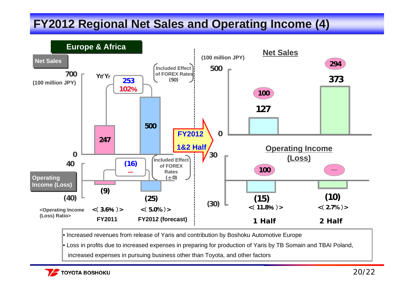### **FY2012 Regional Net Sales and Operating Income (4) FY2012 Regional Net Sales and Operating Income (4)**



• Increased revenues from release of Yaris and contribution by Boshoku Automotive Europe

• Loss in profits due to increased expenses in preparing for production of Yaris by TB Somain and TBAI Poland,

increased expenses in pursuing business other than Toyota, and other factors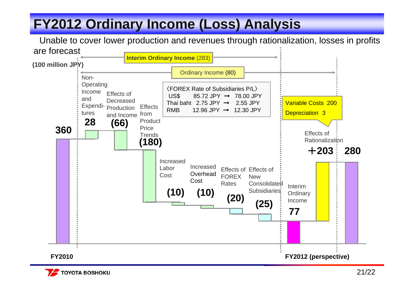## **FY2012 Ordinary Income (Loss) Analysis FY2012 Ordinary Income (Loss) Analysis**

Unable to cover lower production and revenues through rationalization, losses in profits are forecast